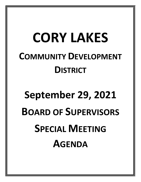## **CORY LAKES COMMUNITY DEVELOPMENT DISTRICT**

## **September 29, 2021 BOARD OF SUPERVISORS SPECIAL MEETING AGENDA**